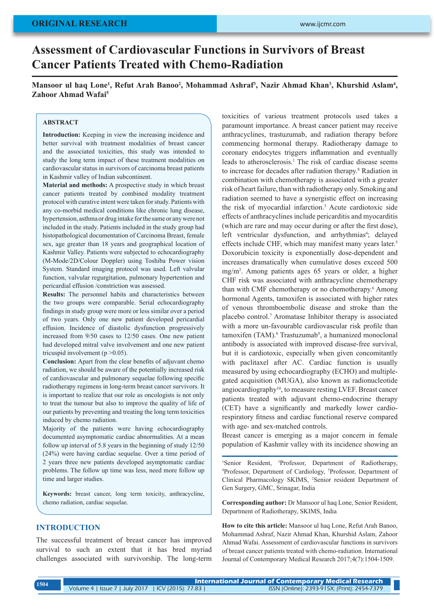# **Assessment of Cardiovascular Functions in Survivors of Breast Cancer Patients Treated with Chemo-Radiation**

Mansoor ul haq Lone<sup>1</sup>, Refut Arah Banoo<sup>2</sup>, Mohammad Ashraf<sup>3</sup>, Nazir Ahmad Khan<sup>3</sup>, Khurshid Aslam<sup>4</sup>, **Zahoor Ahmad Wafai5**

#### **ABSTRACT**

**Introduction:** Keeping in view the increasing incidence and better survival with treatment modalities of breast cancer and the associated toxicities, this study was intended to study the long term impact of these treatment modalities on cardiovascular status in survivors of carcinoma breast patients in Kashmir valley of Indian subcontinent.

**Material and methods:** A prospective study in which breast cancer patients treated by combined modality treatment protocol with curative intent were taken for study. Patients with any co-morbid medical conditions like chronic lung disease, hypertension, asthma or drug intake for the same or any were not included in the study. Patients included in the study group had histopathological documentation of Carcinoma Breast, female sex, age greater than 18 years and geographical location of Kashmir Valley. Patients were subjected to echocardiography (M-Mode/2D/Colour Doppler) using Toshiba Power vision System. Standard imaging protocol was used. Left valvular function, valvular regurgitation, pulmonary hypertention and pericardial effusion /constriction was assessed.

**Results:** The personnel habits and characteristics between the two groups were comparable. Serial echocardiography findings in study group were more or less similar over a period of two years. Only one new patient developed pericardial effusion. Incidence of diastolic dysfunction progressively increased from 9/50 cases to 12/50 cases. One new patient had developed mitral valve involvement and one new patient tricuspid involvement ( $p > 0.05$ ).

**Conclusion:** Apart from the clear benefits of adjuvant chemo radiation, we should be aware of the potentially increased risk of cardiovascular and pulmonary sequelae following specific radiotherapy regimens in long-term breast cancer survivors. It is important to realize that our role as oncologists is not only to treat the tumour but also to improve the quality of life of our patients by preventing and treating the long term toxicities induced by chemo radiation.

Majority of the patients were having echocardiography documented asymptomatic cardiac abnormalities. At a mean follow up interval of 5.8 years in the beginning of study 12/50 (24%) were having cardiac sequelae. Over a time period of 2 years three new patients developed asymptomatic cardiac problems. The follow up time was less, need more follow up time and larger studies.

**Keywords:** breast cancer, long term toxicity, anthracycline, chemo radiation, cardiac sequelae.

#### **INTRODUCTION**

The successful treatment of breast cancer has improved survival to such an extent that it has bred myriad challenges associated with survivorship. The long-term toxicities of various treatment protocols used takes a paramount importance. A breast cancer patient may receive anthracyclines, trastuzumab, and radiation therapy before commencing hormonal therapy. Radiotherapy damage to coronary endocytes triggers inflammation and eventually leads to atherosclerosis.<sup>1</sup> The risk of cardiac disease seems to increase for decades after radiation therapy.<sup>8</sup> Radiation in combination with chemotherapy is associated with a greater risk of heart failure, than with radiotherapy only. Smoking and radiation seemed to have a synergistic effect on increasing the risk of myocardial infarction.3 Acute cardiotoxic side effects of anthracyclines include pericarditis and myocarditis (which are rare and may occur during or after the first dose), left ventricular dysfunction, and arrhythmias<sup>4</sup>; delayed effects include CHF, which may manifest many years later.<sup>5</sup> Doxorubicin toxicity is exponentially dose-dependent and increases dramatically when cumulative doses exceed 500 mg/m2 . Among patients ages 65 years or older, a higher CHF risk was associated with anthracycline chemotherapy than with CMF chemotherapy or no chemotherapy.<sup>6</sup> Among hormonal Agents, tamoxifen is associated with higher rates of venous thromboembolic disease and stroke than the placebo control.7 Aromatase Inhibitor therapy is associated with a more un-favourable cardiovascular risk profile than tamoxifen (TAM).<sup>8</sup> Trastuzumab<sup>9</sup>, a humanized monoclonal antibody is associated with improved disease-free survival, but it is cardiotoxic, especially when given concomitantly with paclitaxel after AC. Cardiac function is usually measured by using echocardiography (ECHO) and multiplegated acquisition (MUGA), also known as radionucleotide angiocardiography10, to measure resting LVEF. Breast cancer patients treated with adjuvant chemo-endocrine therapy (CET) have a significantly and markedly lower cardiorespiratory fitness and cardiac functional reserve compared with age- and sex-matched controls.

Breast cancer is emerging as a major concern in female population of Kashmir valley with its incidence showing an

<sup>1</sup>Senior Resident, <sup>3</sup>Professor, Department of Radiotherapy, <sup>4</sup>Professor Department of Cardiology <sup>5</sup>Professor Department of Professor, Department of Cardiology, <sup>5</sup>Professor, Department of Clinical Pharmacology SKIMS, <sup>2</sup>Senior resident Department of Gen Surgery, GMC, Srinagar, India

**Corresponding author:** Dr Mansoor ul haq Lone, Senior Resident, Department of Radiotherapy, SKIMS, India

**How to cite this article:** Mansoor ul haq Lone, Refut Arah Banoo, Mohammad Ashraf, Nazir Ahmad Khan, Khurshid Aslam, Zahoor Ahmad Wafai. Assessment of cardiovascular functions in survivors of breast cancer patients treated with chemo-radiation. International Journal of Contemporary Medical Research 2017;4(7):1504-1509.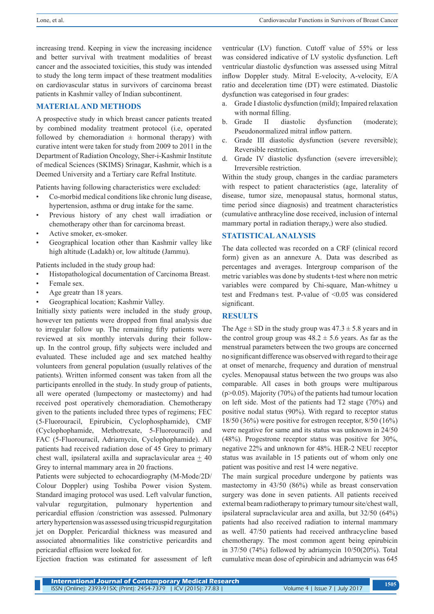increasing trend. Keeping in view the increasing incidence and better survival with treatment modalities of breast cancer and the associated toxicities, this study was intended to study the long term impact of these treatment modalities on cardiovascular status in survivors of carcinoma breast patients in Kashmir valley of Indian subcontinent.

# **MATERIAL AND METHODS**

A prospective study in which breast cancer patients treated by combined modality treatment protocol (i.e, operated followed by chemoradiation  $\pm$  hormonal therapy) with curative intent were taken for study from 2009 to 2011 in the Department of Radiation Oncology, Sher-i-Kashmir Institute of medical Sciences (SKIMS) Srinagar, Kashmir, which is a Deemed University and a Tertiary care Refral Institute.

Patients having following characteristics were excluded:

- Co-morbid medical conditions like chronic lung disease, hypertension, asthma or drug intake for the same.
- Previous history of any chest wall irradiation or chemotherapy other than for carcinoma breast.
- Active smoker, ex-smoker.
- Geographical location other than Kashmir valley like high altitude (Ladakh) or, low altitude (Jammu).

Patients included in the study group had:

- Histopathological documentation of Carcinoma Breast.
- Female sex.
- Age greatr than 18 years.
- Geographical location; Kashmir Valley.

Initially sixty patients were included in the study group, however ten patients were dropped from final analysis due to irregular follow up. The remaining fifty patients were reviewed at six monthly intervals during their followup. In the control group, fifty subjects were included and evaluated. These included age and sex matched healthy volunteers from general population (usually relatives of the patients). Written informed consent was taken from all the participants enrolled in the study. In study group of patients, all were operated (lumpectomy or mastectomy) and had received post operatively chemoradiation. Chemotherapy given to the patients included three types of regimens; FEC (5-Fluorouracil, Epirubicin, Cyclophosphamide), CMF (Cyclophophamide, Methotrexate, 5-Fluorouracil) and FAC (5-Fluorouracil, Adriamycin, Cyclophophamide). All patients had received radiation dose of 45 Grey to primary chest wall, ipsilateral axilla and supraclavicular area  $\pm$  40 Grey to internal mammary area in 20 fractions.

Patients were subjected to echocardiography (M-Mode/2D/ Colour Doppler) using Toshiba Power vision System. Standard imaging protocol was used. Left valvular function, valvular regurgitation, pulmonary hypertention and pericardial effusion /constriction was assessed. Pulmonary artery hypertension was assessed using tricuspid regurgitation jet on Doppler. Pericardial thickness was measured and associated abnormalities like constrictive pericardits and pericardial effusion were looked for.

Ejection fraction was estimated for assessment of left

ventricular (LV) function. Cutoff value of 55% or less was considered indicative of LV systolic dysfunction. Left ventricular diastolic dysfunction was assessed using Mitral inflow Doppler study. Mitral E-velocity, A-velocity, E/A ratio and deceleration time (DT) were estimated. Diastolic dysfunction was categorised in four grades:

- a. Grade I diastolic dysfunction (mild); Impaired relaxation with normal filling.
- b. Grade II diastolic dysfunction (moderate); Pseudonormalized mitral inflow pattern.
- c. Grade III diastolic dysfunction (severe reversible); Reversible restriction.
- d. Grade IV diastolic dysfunction (severe irreversible); Irreversible restriction.

Within the study group, changes in the cardiac parameters with respect to patient characteristics (age, laterality of disease, tumor size, menopausal status, hormonal status, time period since diagnosis) and treatment characteristics (cumulative anthracyline dose received, inclusion of internal mammary portal in radiation therapy,) were also studied.

### **STATISTICAL ANALYSIS**

The data collected was recorded on a CRF (clinical record form) given as an annexure A. Data was described as percentages and averages. Intergroup comparison of the metric variables was done by students t-test where non metric variables were compared by Chi-square, Man-whitney u test and Fredman's test. P-value of  $\leq 0.05$  was considered significant.

# **RESULTS**

The Age  $\pm$  SD in the study group was 47.3  $\pm$  5.8 years and in the control group group was  $48.2 \pm 5.6$  years. As far as the menstrual parameters between the two groups are concerned no significant difference was observed with regard to their age at onset of menarche, frequency and duration of menstrual cycles. Menopausal status between the two groups was also comparable. All cases in both groups were multiparous (p>0.05). Majority (70%) of the patients had tumour location on left side. Most of the patients had T2 stage (70%) and positive nodal status (90%). With regard to receptor status 18/50 (36%) were positive for estrogen receptor, 8/50 (16%) were negative for same and its status was unknown in 24/50 (48%). Progestrone receptor status was positive for 30%, negative 22% and unknown for 48%. HER-2 NEU receptor status was available in 15 patients out of whom only one patient was positive and rest 14 were negative.

The main surgical procedure undergone by patients was mastectomy in 43/50 (86%) while as breast conservation surgery was done in seven patients. All patients received external beam radiotherapy to primary tumour site/chest wall, ipsilateral supraclavicular area and axilla, but 32/50 (64%) patients had also received radiation to internal mammary as well. 47/50 patients had received anthracycline based chemotherapy. The most common agent being epirubicin in 37/50 (74%) followed by adriamycin 10/50(20%). Total cumulative mean dose of epirubicin and adriamycin was 645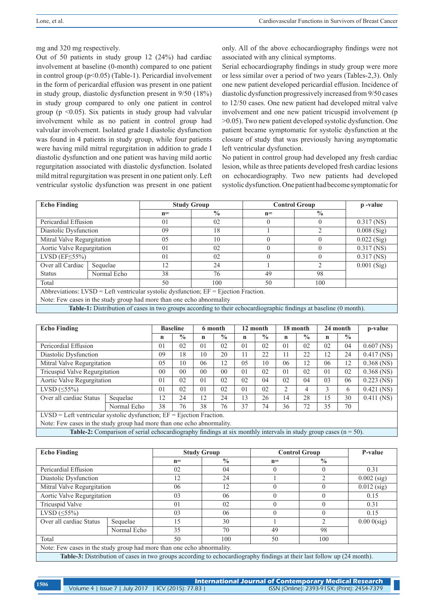mg and 320 mg respectively.

Out of 50 patients in study group 12 (24%) had cardiac involvement at baseline (0-month) compared to one patient in control group (p<0.05) (Table-1). Pericardial involvement in the form of pericardial effusion was present in one patient in study group, diastolic dysfunction present in 9/50 (18%) in study group compared to only one patient in control group ( $p \leq 0.05$ ). Six patients in study group had valvular involvement while as no patient in control group had valvular involvement. Isolated grade I diastolic dysfunction was found in 4 patients in study group, while four patients were having mild mitral regurgitation in addition to grade I diastolic dysfunction and one patient was having mild aortic regurgitation associated with diastolic dysfunction. Isolated mild mitral regurgitation was present in one patient only. Left ventricular systolic dysfunction was present in one patient only. All of the above echocardiography findings were not associated with any clinical symptoms.

Serial echocardiography findings in study group were more or less similar over a period of two years (Tables-2,3). Only one new patient developed pericardial effusion. Incidence of diastolic dysfunction progressively increased from 9/50 cases to 12/50 cases. One new patient had developed mitral valve involvement and one new patient tricuspid involvement (p >0.05). Two new patient developed systolic dysfunction. One patient became symptomatic for systolic dysfunction at the closure of study that was previously having asymptomatic left ventricular dysfunction.

No patient in control group had developed any fresh cardiac lesion, while as three patients developed fresh cardiac lesions on echocardiography. Two new patients had developed systolic dysfunction. One patient had become symptomatic for

| <b>Echo Finding</b>                                                                                               |             |                | <b>Study Group</b> | <b>Control Group</b> | p-value       |               |
|-------------------------------------------------------------------------------------------------------------------|-------------|----------------|--------------------|----------------------|---------------|---------------|
|                                                                                                                   |             | $n =$          | $\frac{0}{0}$      | $n =$                | $\frac{0}{0}$ |               |
| Pericardial Effusion                                                                                              |             | 0 <sub>1</sub> | 02                 | 0                    |               | $0.317$ (NS)  |
| Diastolic Dysfunction                                                                                             |             | 09             | 18                 |                      | ◠             | $0.008$ (Sig) |
| Mitral Valve Regurgitation                                                                                        |             | 0 <sub>5</sub> | 10                 |                      | $\Omega$      | $0.022$ (Sig) |
| Aortic Valve Regurgitation                                                                                        |             | 0 <sub>1</sub> | 02                 | $\theta$             | $\Omega$      | $0.317$ (NS)  |
| LVSD $(EF \leq 55\%)$                                                                                             |             | 0 <sub>1</sub> | 02                 | $\Omega$             | $\Omega$      | $0.317$ (NS)  |
| Over all Cardiac                                                                                                  | Sequelae    | 12             | 24                 |                      | 2             | $0.001$ (Sig) |
| <b>Status</b>                                                                                                     | Normal Echo | 38             | 76                 | 49                   | 98            |               |
| Total                                                                                                             |             | 50             | 100                | 50                   | 100           |               |
| Abbreviations: $LVSD = Left$ ventricular systolic dysfunction; $EF = Ej$ ection Fraction.                         |             |                |                    |                      |               |               |
| Note: Few cases in the study group had more than one echo abnormality                                             |             |                |                    |                      |               |               |
| Table-1: Distribution of cases in two groups according to their echocardiographic findings at baseline (0 month). |             |                |                    |                      |               |               |

| <b>Echo Finding</b>                                                                                               |          | <b>Baseline</b> |                | 6 month        |                | 12 month       |               | 18 month |               | 24 month      |               | p-value      |
|-------------------------------------------------------------------------------------------------------------------|----------|-----------------|----------------|----------------|----------------|----------------|---------------|----------|---------------|---------------|---------------|--------------|
|                                                                                                                   |          | n               | $\frac{0}{0}$  | $\mathbf n$    | $\frac{0}{0}$  | n              | $\frac{0}{0}$ | n        | $\frac{0}{0}$ | n             | $\frac{0}{0}$ |              |
| Pericordial Effusion                                                                                              |          | 01              | 02             | 0 <sub>1</sub> | 02             | 0 <sub>1</sub> | 02            | 01       | 02            | 02            | 04            | $0.607$ (NS) |
| Diastolic Dysfunction                                                                                             |          | 09              | 18             | 10             | 20             | 11             | 22            | 11       | 22            | 12            | 24            | $0.417$ (NS) |
| Mitral Valve Regurgitation                                                                                        |          | 0.5             | 10             | 06             | 12             | 05             | 10            | 06       | 12            | 06            | 12            | $0.368$ (NS) |
| Tricuspid Valve Regurgitation                                                                                     |          | 0 <sup>0</sup>  | 0 <sub>0</sub> | 0 <sub>0</sub> | 0 <sup>0</sup> | 0 <sub>1</sub> | 02            | 01       | 02            | 01            | 02            | $0.368$ (NS) |
| Aortic Valve Regurgitation                                                                                        |          | 0 <sub>1</sub>  | 02             | 0 <sub>1</sub> | 02             | 02             | 04            | 02       | 04            | 03            | 06            | $0.223$ (NS) |
| LVSD $(\leq 55\%)$                                                                                                |          | 0 <sub>1</sub>  | 02             | 0 <sub>1</sub> | 02             | 0 <sub>1</sub> | 02            | 2        | 4             | $\mathcal{E}$ | 6             | $0.421$ (NS) |
| Over all cardiac Status                                                                                           | Sequelae | 12              | 24             | 12             | 24             | 13             | 26            | 14       | 28            | 15            | 30            | $0.411$ (NS) |
| Normal Echo                                                                                                       |          | 38              | 76             | 38             | 76             | 37             | 74            | 36       | 72            | 35            | 70            |              |
| $LVSD = Left$ ventricular systolic dysfunction; $EF = Ej$ ection Fraction.                                        |          |                 |                |                |                |                |               |          |               |               |               |              |
| Note: Few cases in the study group had more than one echo abnormality.                                            |          |                 |                |                |                |                |               |          |               |               |               |              |
| Table 2. Comparison of sorial echoeordia graphy findings at aix monthly intervals in study group eases $(n - 50)$ |          |                 |                |                |                |                |               |          |               |               |               |              |

**Table-2:** Comparison of serial echocardiography findings at six monthly intervals in study group cases (n = 50).

| <b>Echo Finding</b>                                                                                                     |          |                | <b>Study Group</b> | <b>Control Group</b> | P-value        |               |
|-------------------------------------------------------------------------------------------------------------------------|----------|----------------|--------------------|----------------------|----------------|---------------|
|                                                                                                                         |          | $n =$          | $\frac{0}{0}$      | $n =$                | $\frac{0}{0}$  |               |
| Pericardial Effusion                                                                                                    |          | 02             | 04                 | $\theta$             | $\theta$       | 0.31          |
| Diastolic Dysfunction                                                                                                   |          | 12             | 24                 |                      | $\mathfrak{D}$ | $0.002$ (sig) |
| Mitral Valve Regurgitation                                                                                              |          | 06             | 12                 |                      |                | $0.012$ (sig) |
| Aortic Valve Regurgitation                                                                                              |          | 03             | 06                 | $\Omega$             | $\Omega$       | 0.15          |
| Tricuspid Valve                                                                                                         |          | 0 <sub>1</sub> | 02                 | $\Omega$             | $\Omega$       | 0.31          |
| LVSD $(\leq 55\%)$                                                                                                      |          | 03             | 06                 | $\Omega$             | $\Omega$       | 0.15          |
| Over all cardiac Status                                                                                                 | Sequelae | 15             | 30                 |                      | $\overline{2}$ | $0.000$ (sig) |
| Normal Echo                                                                                                             |          | 35             | 70                 | 49                   | 98             |               |
| Total                                                                                                                   |          | 50             | 100                | 50                   | 100            |               |
| Note: Few cases in the study group had more than one echo abnormality.                                                  |          |                |                    |                      |                |               |
| Table-3: Distribution of cases in two groups according to echocardiography findings at their last follow up (24 month). |          |                |                    |                      |                |               |

| 1506 |                                                    | <b>International Journal of Contemporary Medical Research</b> |  |  |  |  |  |
|------|----------------------------------------------------|---------------------------------------------------------------|--|--|--|--|--|
|      | Volume 4   Issue 7   July 2017   ICV (2015): 77.83 | ISSN (Online): 2393-915X; (Print): 2454-7379                  |  |  |  |  |  |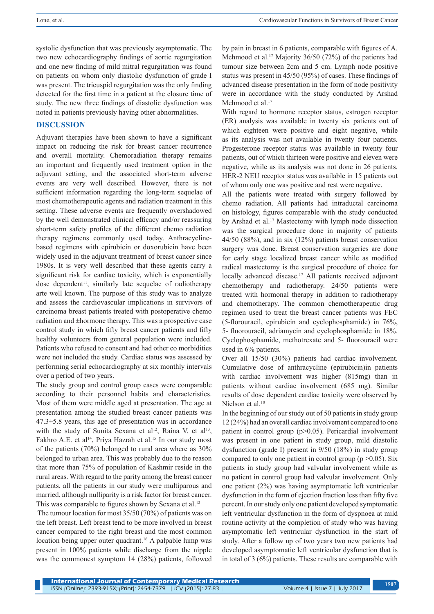systolic dysfunction that was previously asymptomatic. The two new echocardiography findings of aortic regurgitation and one new finding of mild mitral regurgitation was found on patients on whom only diastolic dysfunction of grade I was present. The tricuspid regurgitation was the only finding detected for the first time in a patient at the closure time of study. The new three findings of diastolic dysfunction was noted in patients previously having other abnormalities.

#### **DISCUSSION**

Adjuvant therapies have been shown to have a significant impact on reducing the risk for breast cancer recurrence and overall mortality. Chemoradiation therapy remains an important and frequently used treatment option in the adjuvant setting, and the associated short-term adverse events are very well described. However, there is not sufficient information regarding the long-term sequelae of most chemotherapeutic agents and radiation treatment in this setting. These adverse events are frequently overshadowed by the well demonstrated clinical efficacy and/or reassuring short-term safety profiles of the different chemo radiation therapy regimens commonly used today. Anthracyclinebased regimens with epirubicin or doxorubicin have been widely used in the adjuvant treatment of breast cancer since 1980s. It is very well described that these agents carry a significant risk for cardiac toxicity, which is exponentially dose dependent<sup>11</sup>, similarly late sequelae of radiotherapy arte well known. The purpose of this study was to analyze and assess the cardiovascular implications in survivors of carcinoma breast patients treated with postoperative chemo radiation and ±hormone therapy. This was a prospective case control study in which fifty breast cancer patients and fifty healthy volunteers from general population were included. Patients who refused to consent and had other co morbidities were not included the study. Cardiac status was assessed by performing serial echocardiography at six monthly intervals over a period of two years.

The study group and control group cases were comparable according to their personnel habits and characteristics. Most of them were middle aged at presentation. The age at presentation among the studied breast cancer patients was  $47.3 \pm 5.8$  years, this age of presentation was in accordance with the study of Sunita Sexana et al<sup>12</sup>, Raina V. et al<sup>13</sup>, Fakhro A.E. et al<sup>14</sup>, Priya Hazrah et al.<sup>15</sup> In our study most of the patients (70%) belonged to rural area where as 30% belonged to urban area. This was probably due to the reason that more than 75% of population of Kashmir reside in the rural areas. With regard to the parity among the breast cancer patients, all the patients in our study were multiparous and married, although nulliparity is a risk factor for breast cancer. This was comparable to figures shown by Sexana et al.<sup>12</sup>

 The tumour location for most 35/50 (70%) of patients was on the left breast. Left breast tend to be more involved in breast cancer compared to the right breast and the most common location being upper outer quadrant.<sup>16</sup> A palpable lump was present in 100% patients while discharge from the nipple was the commonest symptom 14 (28%) patients, followed

by pain in breast in 6 patients, comparable with figures of A. Mehmood et al.<sup>17</sup> Majority 36/50 (72%) of the patients had tumour size between 2cm and 5 cm. Lymph node positive status was present in 45/50 (95%) of cases. These findings of advanced disease presentation in the form of node positivity were in accordance with the study conducted by Arshad Mehmood et al.<sup>17</sup>

With regard to hormone receptor status, estrogen receptor (ER) analysis was available in twenty six patients out of which eighteen were positive and eight negative, while as its analysis was not available in twenty four patients. Progesterone receptor status was available in twenty four patients, out of which thirteen were positive and eleven were negative, while as its analysis was not done in 26 patients. HER-2 NEU receptor status was available in 15 patients out of whom only one was positive and rest were negative.

All the patients were treated with surgery followed by chemo radiation. All patients had intraductal carcinoma on histology, figures comparable with the study conducted by Arshad et al.<sup>17</sup> Mastectomy with lymph node dissection was the surgical procedure done in majority of patients 44/50 (88%), and in six (12%) patients breast conservation surgery was done. Breast conservation surgeries are done for early stage localized breast cancer while as modified radical mastectomy is the surgical procedure of choice for locally advanced disease.<sup>17</sup> All patients received adjuvant chemotherapy and radiotherapy. 24/50 patients were treated with hormonal therapy in addition to radiotherapy and chemotherapy. The common chemotherapeutic drug regimen used to treat the breast cancer patients was FEC (5-florouracil, epirubicin and cyclophosphamide) in 76%, 5- fluorouracil, adriamycin and cyclophosphamide in 18%. Cyclophosphamide, methotrexate and 5- fluorouracil were used in 6% patients.

Over all 15/50 (30%) patients had cardiac involvement. Cumulative dose of anthracycline (epirubicin)in patients with cardiac involvement was higher (815mg) than in patients without cardiac involvement (685 mg). Similar results of dose dependent cardiac toxicity were observed by Nielson et al.<sup>18</sup>

In the beginning of our study out of 50 patients in study group 12 (24%) had an overall cardiac involvement compared to one patient in control group (p>0.05). Pericardial involvement was present in one patient in study group, mild diastolic dysfunction (grade I) present in 9/50 (18%) in study group compared to only one patient in control group ( $p > 0.05$ ). Six patients in study group had valvular involvement while as no patient in control group had valvular involvement. Only one patient (2%) was having asymptomatic left ventricular dysfunction in the form of ejection fraction less than fifty five percent. In our study only one patient developed symptomatic left ventricular dysfunction in the form of dyspnoea at mild routine activity at the completion of study who was having asymptomatic left ventricular dysfunction in the start of study. After a follow up of two years two new patients had developed asymptomatic left ventricular dysfunction that is in total of 3 (6%) patients. These results are comparable with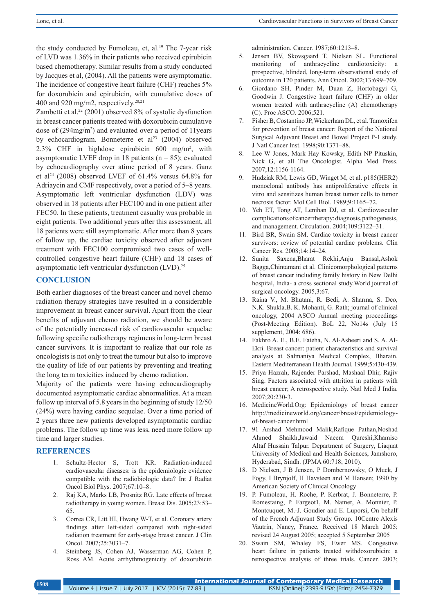the study conducted by Fumoleau, et, al.<sup>19</sup> The 7-year risk of LVD was 1.36% in their patients who received epirubicin based chemotherapy. Similar results from a study conducted by Jacques et al, (2004). All the patients were asymptomatic. The incidence of congestive heart failure (CHF) reaches 5% for doxorubicin and epirubicin, with cumulative doses of 400 and 920 mg/m2, respectively. $20,21$ 

Zambetti et al.<sup>22</sup> (2001) observed  $8\%$  of systolic dysfunction in breast cancer patients treated with doxorubicin cumulative dose of (294mg/m2 ) and evaluated over a period of 11years by echocardiogram. Bonneterre et al<sup>23</sup> (2004) observed 2.3% CHF in highdose epirubicin  $600 \text{ mg/m}^2$ , with asymptomatic LVEF drop in 18 patients ( $n = 85$ ); evaluated by echocardiography over atime period of 8 years. Ganz et al<sup>24</sup> (2008) observed LVEF of 61.4% versus 64.8% for Adriaycin and CMF respectively, over a period of 5–8 years. Asymptomatic left ventricular dysfunction (LDV) was observed in 18 patients after FEC100 and in one patient after FEC50. In these patients, treatment casualty was probable in eight patients. Two additional years after this assessment, all 18 patients were still asymptomatic. After more than 8 years of follow up, the cardiac toxicity observed after adjuvant treatment with FEC100 compromised two cases of wellcontrolled congestive heart failure (CHF) and 18 cases of asymptomatic left ventricular dysfunction (LVD).25

#### **CONCLUSION**

Both earlier diagnoses of the breast cancer and novel chemo radiation therapy strategies have resulted in a considerable improvement in breast cancer survival. Apart from the clear benefits of adjuvant chemo radiation, we should be aware of the potentially increased risk of cardiovascular sequelae following specific radiotherapy regimens in long-term breast cancer survivors. It is important to realize that our role as oncologists is not only to treat the tumour but also to improve the quality of life of our patients by preventing and treating the long term toxicities induced by chemo radiation.

Majority of the patients were having echocardiography documented asymptomatic cardiac abnormalities. At a mean follow up interval of 5.8 years in the beginning of study 12/50 (24%) were having cardiac sequelae. Over a time period of 2 years three new patients developed asymptomatic cardiac problems. The follow up time was less, need more follow up time and larger studies.

# **REFERENCES**

- 1. Schultz-Hector S, Trott KR. Radiation-induced cardiovascular diseases: is the epidemiologic evidence compatible with the radiobiologic data? Int J Radiat Oncol Biol Phys. 2007;67:10–8.
- 2. Raj KA, Marks LB, Prosnitz RG. Late effects of breast radiotherapy in young women. Breast Dis. 2005;23:53– 65.
- 3. Correa CR, Litt HI, Hwang W-T, et al. Coronary artery findings after left-sided compared with right-sided radiation treatment for early-stage breast cancer. J Clin Oncol. 2007;25:3031–7.
- 4. Steinberg JS, Cohen AJ, Wasserman AG, Cohen P, Ross AM. Acute arrhythmogenicity of doxorubicin

administration. Cancer. 1987;60:1213–8.

- 5. Jensen BV, Skovsgaard T, Nielsen SL. Functional monitoring of anthracycline cardiotoxicity: a prospective, blinded, long-term observational study of outcome in 120 patients. Ann Oncol. 2002;13:699–709.
- 6. Giordano SH, Pinder M, Duan Z, Hortobagyi G, Goodwin J. Congestive heart failure (CHF) in older women treated with anthracycline (A) chemotherapy (C). Proc ASCO. 2006;521.
- 7. Fisher B, Costantino JP, Wickerham DL, et al. Tamoxifen for prevention of breast cancer: Report of the National Surgical Adjuvant Breast and Bowel Project P-1 study. J Natl Cancer Inst. 1998;90:1371–88.
- 8. Lee W Jones, Mark Hay Kowsky, Edith NP Pituskin, Nick G, et all The Oncologist. Alpha Med Press. 2007;12:1156-1164.
- 9. Hudziak RM, Lewis GD, Winget M, et al. p185(HER2) monoclonal antibody has antiproliferative effects in vitro and sensitizes human breast tumor cells to tumor necrosis factor. Mol Cell Biol. 1989;9:1165–72.
- 10. Yeh ET, Tong AT, Lenihan DJ, et al. Cardiovascular complications of cancer therapy: diagnosis, pathogenesis, and management. Circulation. 2004;109:3122–31.
- 11. Bird BR, Swain SM. Cardiac toxicity in breast cancer survivors: review of potential cardiac problems. Clin Cancer Res. 2008;14:14–24.
- 12. Sunita Saxena,Bharat Rekhi,Anju Bansal,Ashok Bagga,Chintamani et al. Clinicomorphological patterns of breast cancer including family history in New Delhi hospital, India- a cross sectional study.World journal of surgical oncology. 2005,3:67.
- 13. Raina V., M. Bhutani, R. Bedi, A. Sharma, S. Deo, N.K. Shukla.B. K. Mohanti, G. Rath; journal of clinical oncology, 2004 ASCO Annual meeting proceedings (Post-Meeting Edition). BoL 22, No14s (July 15 supplement, 2004: 686).
- 14. Fakhro A. E., B.E. Fateha, N. Al-Asheeri and S. A. Al-Ekri. Breast cancer: patient characteristics and survival analysis at Salmaniya Medical Complex, Bharain. Eastern Mediterranean Health Journal. 1999;5:430-439.
- 15. Priya Hazrah, Rajender Parshad, Mashaal Dhir, Rajiv Sing. Factors associated with attrition in patients with breast cancer; A retrospective study. Natl Med J India. 2007;20:230-3.
- 16. MedicineWorld.Org: Epidemiology of breast cancer http://medicineworld.org/cancer/breast/epidemiologyof-breast-cancer.html
- 17. 91 Arshad Mehmood Malik,Rafique Pathan,Noshad Ahmed Shaikh,Jawaid Naeem Qureshi,Khamiso Altaf Hussain Talpur. Department of Surgery, Liaquat University of Medical and Health Sciences, Jamshoro, Hyderabad, Sindh. (JPMA 60:718; 2010).
- 18. D Nielsen, J B Jensen, P Dombernowsky, O Muck, J Fogy, I Brynjolf, H Havsteen and M Hansen; 1990 by American Society of Clinical Oncology
- 19. P. Fumoleau, H. Roche, P. Kerbrat, J. Bonneterre, P. Romestaing, P. Fargeot1, M. Namer, A. Monnier, P. Montcuquet, M.-J. Goudier and E. Luporsi, On behalf of the French Adjuvant Study Group. 10Centre Alexis Vautrin, Nancy, France, Received 18 March 2005; revised 24 August 2005; accepted 5 September 2005
- 20. Swain SM, Whaley FS, Ewer MS. Congestive heart failure in patients treated withdoxorubicin: a retrospective analysis of three trials. Cancer. 2003;